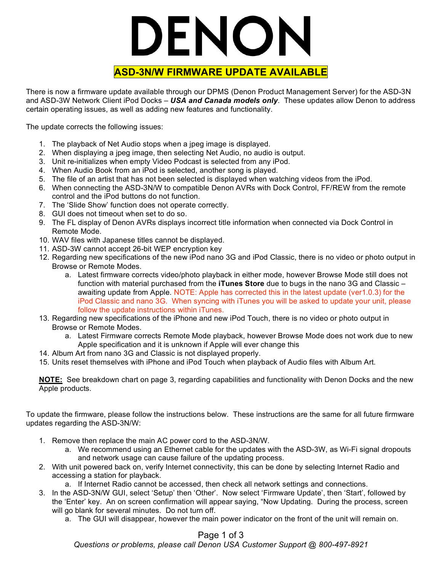# DENON

## **ASD-3N/W FIRMWARE UPDATE AVAILABLE**

There is now a firmware update available through our DPMS (Denon Product Management Server) for the ASD-3N and ASD-3W Network Client iPod Docks – *USA and Canada models only*. These updates allow Denon to address certain operating issues, as well as adding new features and functionality.

The update corrects the following issues:

- 1. The playback of Net Audio stops when a jpeg image is displayed.
- 2. When displaying a jpeg image, then selecting Net Audio, no audio is output.
- 3. Unit re-initializes when empty Video Podcast is selected from any iPod.
- 4. When Audio Book from an iPod is selected, another song is played.
- 5. The file of an artist that has not been selected is displayed when watching videos from the iPod.
- 6. When connecting the ASD-3N/W to compatible Denon AVRs with Dock Control, FF/REW from the remote control and the iPod buttons do not function.
- 7. The 'Slide Show' function does not operate correctly.
- 8. GUI does not timeout when set to do so.
- 9. The FL display of Denon AVRs displays incorrect title information when connected via Dock Control in Remote Mode.
- 10. WAV files with Japanese titles cannot be displayed.
- 11. ASD-3W cannot accept 26-bit WEP encryption key
- 12. Regarding new specifications of the new iPod nano 3G and iPod Classic, there is no video or photo output in Browse or Remote Modes.
	- a. Latest firmware corrects video/photo playback in either mode, however Browse Mode still does not function with material purchased from the **iTunes Store** due to bugs in the nano 3G and Classic – awaiting update from Apple. NOTE: Apple has corrected this in the latest update (ver1.0.3) for the iPod Classic and nano 3G. When syncing with iTunes you will be asked to update your unit, please follow the update instructions within iTunes.
- 13. Regarding new specifications of the iPhone and new iPod Touch, there is no video or photo output in Browse or Remote Modes.
	- a. Latest Firmware corrects Remote Mode playback, however Browse Mode does not work due to new Apple specification and it is unknown if Apple will ever change this
- 14. Album Art from nano 3G and Classic is not displayed properly.
- 15. Units reset themselves with iPhone and iPod Touch when playback of Audio files with Album Art.

**NOTE:** See breakdown chart on page 3, regarding capabilities and functionality with Denon Docks and the new Apple products.

To update the firmware, please follow the instructions below. These instructions are the same for all future firmware updates regarding the ASD-3N/W:

- 1. Remove then replace the main AC power cord to the ASD-3N/W.
	- a. We recommend using an Ethernet cable for the updates with the ASD-3W, as Wi-Fi signal dropouts and network usage can cause failure of the updating process.
- 2. With unit powered back on, verify Internet connectivity, this can be done by selecting Internet Radio and accessing a station for playback.
	- a. If Internet Radio cannot be accessed, then check all network settings and connections.
- 3. In the ASD-3N/W GUI, select 'Setup' then 'Other'. Now select 'Firmware Update', then 'Start', followed by the 'Enter' key. An on screen confirmation will appear saying, "Now Updating. During the process, screen will go blank for several minutes. Do not turn off.
	- a. The GUI will disappear, however the main power indicator on the front of the unit will remain on.

Page 1 of 3

*Questions or problems, please call Denon USA Customer Support @ 800-497-8921*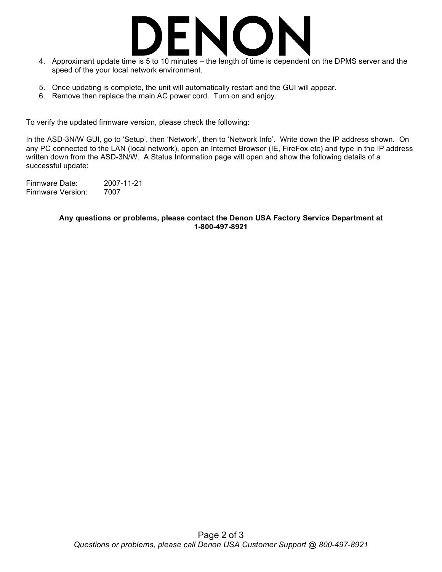

- 4. Approximant update time is 5 to 10 minutes the length of time is dependent on the DPMS server and the speed of the your local network environment.
- 5. Once updating is complete, the unit will automatically restart and the GUI will appear.
- 6. Remove then replace the main AC power cord. Turn on and enjoy.

To verify the updated firmware version, please check the following:

In the ASD-3N/W GUI, go to 'Setup', then 'Network', then to 'Network Info'. Write down the IP address shown. On any PC connected to the LAN (local network), open an Internet Browser (IE, FireFox etc) and type in the IP address written down from the ASD-3N/W. A Status Information page will open and show the following details of a successful update:

Firmware Date: 2007-11-21 Firmware Version: 7007

### **Any questions or problems, please contact the Denon USA Factory Service Department at 1-800-497-8921**